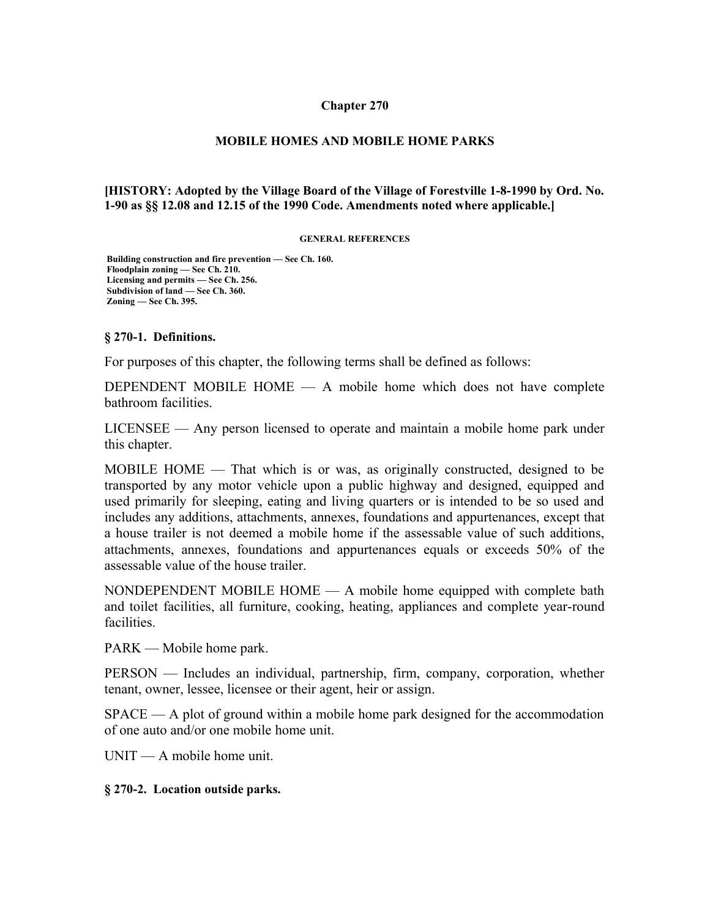#### **Chapter 270**

#### **MOBILE HOMES AND MOBILE HOME PARKS**

#### **[HISTORY: Adopted by the Village Board of the Village of Forestville 1-8-1990 by Ord. No. 1-90 as §§ 12.08 and 12.15 of the 1990 Code. Amendments noted where applicable.]**

#### **GENERAL REFERENCES**

 **Building construction and fire prevention — See Ch. 160. Floodplain zoning — See Ch. 210. Licensing and permits — See Ch. 256. Subdivision of land — See Ch. 360. Zoning — See Ch. 395.**

#### **§ 270-1. Definitions.**

For purposes of this chapter, the following terms shall be defined as follows:

DEPENDENT MOBILE HOME  $-$  A mobile home which does not have complete bathroom facilities.

LICENSEE — Any person licensed to operate and maintain a mobile home park under this chapter.

MOBILE HOME — That which is or was, as originally constructed, designed to be transported by any motor vehicle upon a public highway and designed, equipped and used primarily for sleeping, eating and living quarters or is intended to be so used and includes any additions, attachments, annexes, foundations and appurtenances, except that a house trailer is not deemed a mobile home if the assessable value of such additions, attachments, annexes, foundations and appurtenances equals or exceeds 50% of the assessable value of the house trailer.

NONDEPENDENT MOBILE HOME — A mobile home equipped with complete bath and toilet facilities, all furniture, cooking, heating, appliances and complete year-round facilities.

PARK — Mobile home park.

PERSON — Includes an individual, partnership, firm, company, corporation, whether tenant, owner, lessee, licensee or their agent, heir or assign.

SPACE — A plot of ground within a mobile home park designed for the accommodation of one auto and/or one mobile home unit.

UNIT — A mobile home unit.

#### **§ 270-2. Location outside parks.**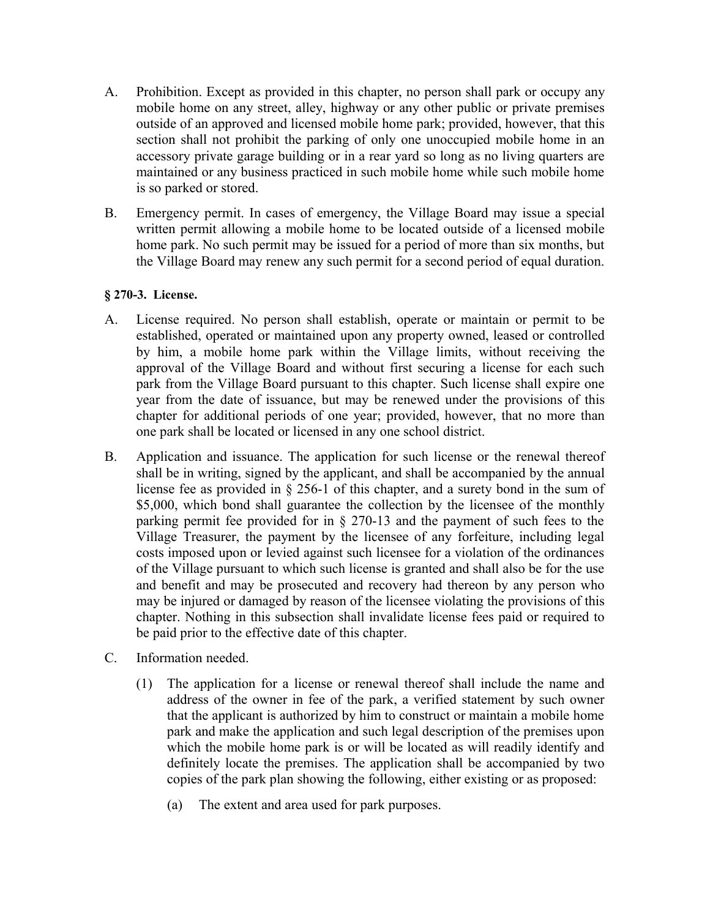- A. Prohibition. Except as provided in this chapter, no person shall park or occupy any mobile home on any street, alley, highway or any other public or private premises outside of an approved and licensed mobile home park; provided, however, that this section shall not prohibit the parking of only one unoccupied mobile home in an accessory private garage building or in a rear yard so long as no living quarters are maintained or any business practiced in such mobile home while such mobile home is so parked or stored.
- B. Emergency permit. In cases of emergency, the Village Board may issue a special written permit allowing a mobile home to be located outside of a licensed mobile home park. No such permit may be issued for a period of more than six months, but the Village Board may renew any such permit for a second period of equal duration.

## **§ 270-3. License.**

- A. License required. No person shall establish, operate or maintain or permit to be established, operated or maintained upon any property owned, leased or controlled by him, a mobile home park within the Village limits, without receiving the approval of the Village Board and without first securing a license for each such park from the Village Board pursuant to this chapter. Such license shall expire one year from the date of issuance, but may be renewed under the provisions of this chapter for additional periods of one year; provided, however, that no more than one park shall be located or licensed in any one school district.
- B. Application and issuance. The application for such license or the renewal thereof shall be in writing, signed by the applicant, and shall be accompanied by the annual license fee as provided in § 256-1 of this chapter, and a surety bond in the sum of \$5,000, which bond shall guarantee the collection by the licensee of the monthly parking permit fee provided for in § 270-13 and the payment of such fees to the Village Treasurer, the payment by the licensee of any forfeiture, including legal costs imposed upon or levied against such licensee for a violation of the ordinances of the Village pursuant to which such license is granted and shall also be for the use and benefit and may be prosecuted and recovery had thereon by any person who may be injured or damaged by reason of the licensee violating the provisions of this chapter. Nothing in this subsection shall invalidate license fees paid or required to be paid prior to the effective date of this chapter.
- C. Information needed.
	- (1) The application for a license or renewal thereof shall include the name and address of the owner in fee of the park, a verified statement by such owner that the applicant is authorized by him to construct or maintain a mobile home park and make the application and such legal description of the premises upon which the mobile home park is or will be located as will readily identify and definitely locate the premises. The application shall be accompanied by two copies of the park plan showing the following, either existing or as proposed:
		- (a) The extent and area used for park purposes.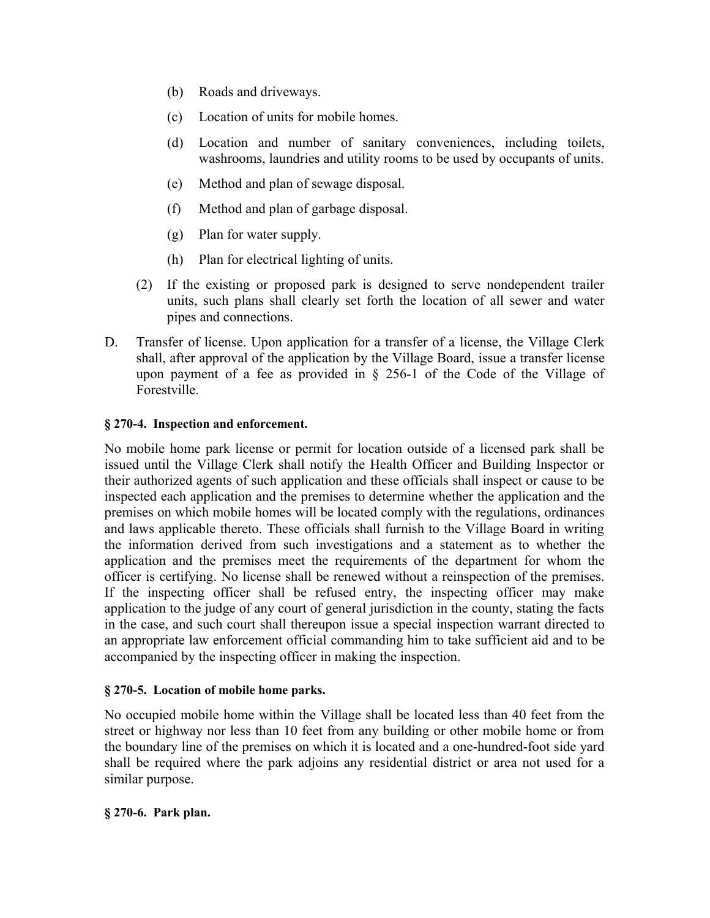- (b) Roads and driveways.
- (c) Location of units for mobile homes.
- (d) Location and number of sanitary conveniences, including toilets, washrooms, laundries and utility rooms to be used by occupants of units.
- (e) Method and plan of sewage disposal.
- (f) Method and plan of garbage disposal.
- (g) Plan for water supply.
- (h) Plan for electrical lighting of units.
- (2) If the existing or proposed park is designed to serve nondependent trailer units, such plans shall clearly set forth the location of all sewer and water pipes and connections.
- D. Transfer of license. Upon application for a transfer of a license, the Village Clerk shall, after approval of the application by the Village Board, issue a transfer license upon payment of a fee as provided in  $\S$  256-1 of the Code of the Village of Forestville.

# **§ 270-4. Inspection and enforcement.**

No mobile home park license or permit for location outside of a licensed park shall be issued until the Village Clerk shall notify the Health Officer and Building Inspector or their authorized agents of such application and these officials shall inspect or cause to be inspected each application and the premises to determine whether the application and the premises on which mobile homes will be located comply with the regulations, ordinances and laws applicable thereto. These officials shall furnish to the Village Board in writing the information derived from such investigations and a statement as to whether the application and the premises meet the requirements of the department for whom the officer is certifying. No license shall be renewed without a reinspection of the premises. If the inspecting officer shall be refused entry, the inspecting officer may make application to the judge of any court of general jurisdiction in the county, stating the facts in the case, and such court shall thereupon issue a special inspection warrant directed to an appropriate law enforcement official commanding him to take sufficient aid and to be accompanied by the inspecting officer in making the inspection.

## **§ 270-5. Location of mobile home parks.**

No occupied mobile home within the Village shall be located less than 40 feet from the street or highway nor less than 10 feet from any building or other mobile home or from the boundary line of the premises on which it is located and a one-hundred-foot side yard shall be required where the park adjoins any residential district or area not used for a similar purpose.

## **§ 270-6. Park plan.**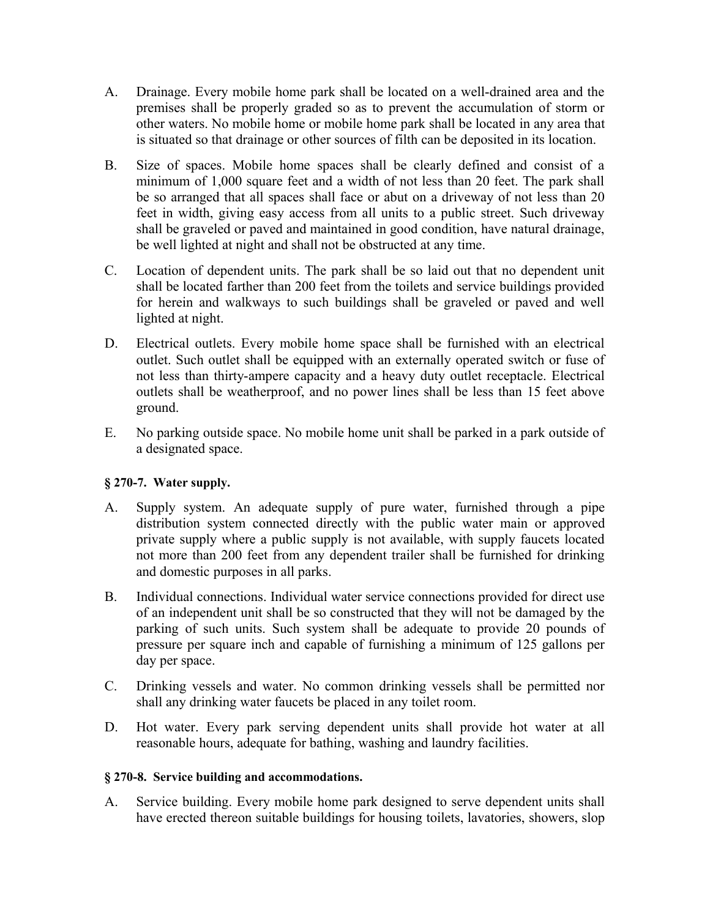- A. Drainage. Every mobile home park shall be located on a well-drained area and the premises shall be properly graded so as to prevent the accumulation of storm or other waters. No mobile home or mobile home park shall be located in any area that is situated so that drainage or other sources of filth can be deposited in its location.
- B. Size of spaces. Mobile home spaces shall be clearly defined and consist of a minimum of 1,000 square feet and a width of not less than 20 feet. The park shall be so arranged that all spaces shall face or abut on a driveway of not less than 20 feet in width, giving easy access from all units to a public street. Such driveway shall be graveled or paved and maintained in good condition, have natural drainage, be well lighted at night and shall not be obstructed at any time.
- C. Location of dependent units. The park shall be so laid out that no dependent unit shall be located farther than 200 feet from the toilets and service buildings provided for herein and walkways to such buildings shall be graveled or paved and well lighted at night.
- D. Electrical outlets. Every mobile home space shall be furnished with an electrical outlet. Such outlet shall be equipped with an externally operated switch or fuse of not less than thirty-ampere capacity and a heavy duty outlet receptacle. Electrical outlets shall be weatherproof, and no power lines shall be less than 15 feet above ground.
- E. No parking outside space. No mobile home unit shall be parked in a park outside of a designated space.

# **§ 270-7. Water supply.**

- A. Supply system. An adequate supply of pure water, furnished through a pipe distribution system connected directly with the public water main or approved private supply where a public supply is not available, with supply faucets located not more than 200 feet from any dependent trailer shall be furnished for drinking and domestic purposes in all parks.
- B. Individual connections. Individual water service connections provided for direct use of an independent unit shall be so constructed that they will not be damaged by the parking of such units. Such system shall be adequate to provide 20 pounds of pressure per square inch and capable of furnishing a minimum of 125 gallons per day per space.
- C. Drinking vessels and water. No common drinking vessels shall be permitted nor shall any drinking water faucets be placed in any toilet room.
- D. Hot water. Every park serving dependent units shall provide hot water at all reasonable hours, adequate for bathing, washing and laundry facilities.

## **§ 270-8. Service building and accommodations.**

A. Service building. Every mobile home park designed to serve dependent units shall have erected thereon suitable buildings for housing toilets, lavatories, showers, slop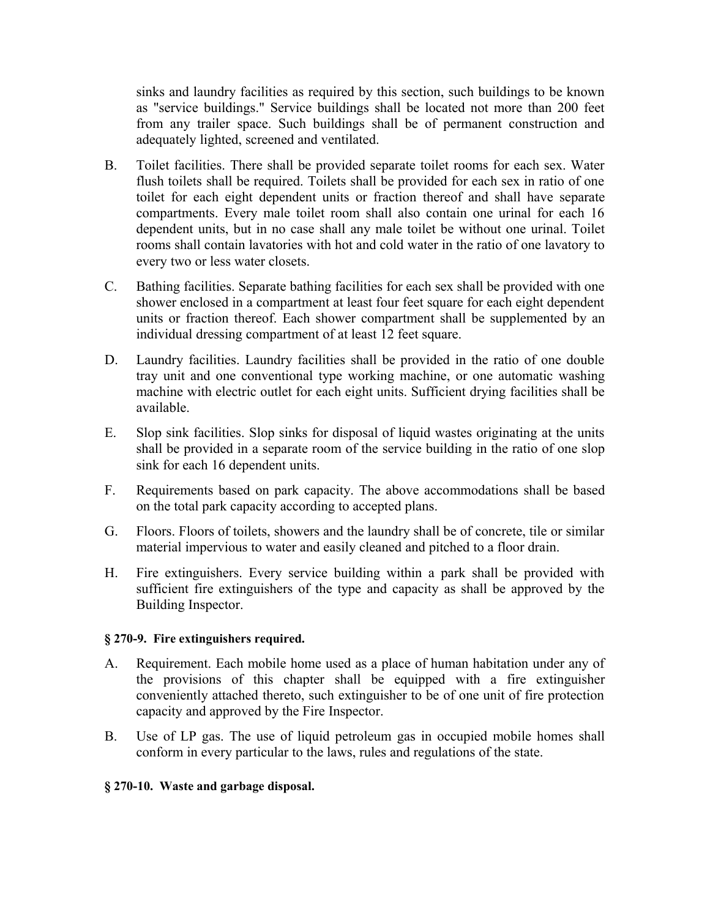sinks and laundry facilities as required by this section, such buildings to be known as "service buildings." Service buildings shall be located not more than 200 feet from any trailer space. Such buildings shall be of permanent construction and adequately lighted, screened and ventilated.

- B. Toilet facilities. There shall be provided separate toilet rooms for each sex. Water flush toilets shall be required. Toilets shall be provided for each sex in ratio of one toilet for each eight dependent units or fraction thereof and shall have separate compartments. Every male toilet room shall also contain one urinal for each 16 dependent units, but in no case shall any male toilet be without one urinal. Toilet rooms shall contain lavatories with hot and cold water in the ratio of one lavatory to every two or less water closets.
- C. Bathing facilities. Separate bathing facilities for each sex shall be provided with one shower enclosed in a compartment at least four feet square for each eight dependent units or fraction thereof. Each shower compartment shall be supplemented by an individual dressing compartment of at least 12 feet square.
- D. Laundry facilities. Laundry facilities shall be provided in the ratio of one double tray unit and one conventional type working machine, or one automatic washing machine with electric outlet for each eight units. Sufficient drying facilities shall be available.
- E. Slop sink facilities. Slop sinks for disposal of liquid wastes originating at the units shall be provided in a separate room of the service building in the ratio of one slop sink for each 16 dependent units.
- F. Requirements based on park capacity. The above accommodations shall be based on the total park capacity according to accepted plans.
- G. Floors. Floors of toilets, showers and the laundry shall be of concrete, tile or similar material impervious to water and easily cleaned and pitched to a floor drain.
- H. Fire extinguishers. Every service building within a park shall be provided with sufficient fire extinguishers of the type and capacity as shall be approved by the Building Inspector.

## **§ 270-9. Fire extinguishers required.**

- A. Requirement. Each mobile home used as a place of human habitation under any of the provisions of this chapter shall be equipped with a fire extinguisher conveniently attached thereto, such extinguisher to be of one unit of fire protection capacity and approved by the Fire Inspector.
- B. Use of LP gas. The use of liquid petroleum gas in occupied mobile homes shall conform in every particular to the laws, rules and regulations of the state.

## **§ 270-10. Waste and garbage disposal.**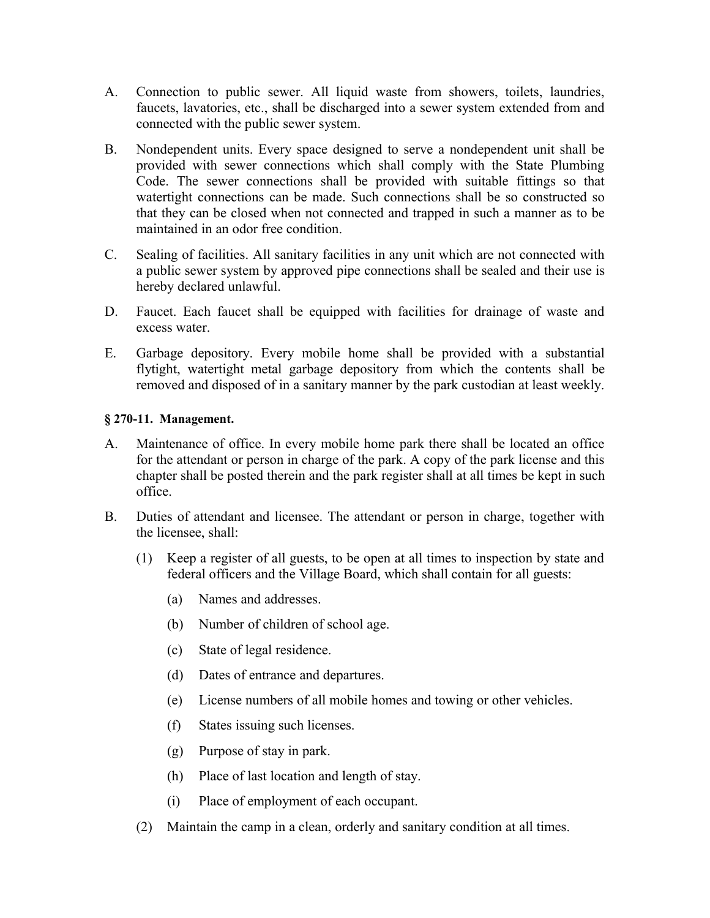- A. Connection to public sewer. All liquid waste from showers, toilets, laundries, faucets, lavatories, etc., shall be discharged into a sewer system extended from and connected with the public sewer system.
- B. Nondependent units. Every space designed to serve a nondependent unit shall be provided with sewer connections which shall comply with the State Plumbing Code. The sewer connections shall be provided with suitable fittings so that watertight connections can be made. Such connections shall be so constructed so that they can be closed when not connected and trapped in such a manner as to be maintained in an odor free condition.
- C. Sealing of facilities. All sanitary facilities in any unit which are not connected with a public sewer system by approved pipe connections shall be sealed and their use is hereby declared unlawful.
- D. Faucet. Each faucet shall be equipped with facilities for drainage of waste and excess water.
- E. Garbage depository. Every mobile home shall be provided with a substantial flytight, watertight metal garbage depository from which the contents shall be removed and disposed of in a sanitary manner by the park custodian at least weekly.

## **§ 270-11. Management.**

- A. Maintenance of office. In every mobile home park there shall be located an office for the attendant or person in charge of the park. A copy of the park license and this chapter shall be posted therein and the park register shall at all times be kept in such office.
- B. Duties of attendant and licensee. The attendant or person in charge, together with the licensee, shall:
	- (1) Keep a register of all guests, to be open at all times to inspection by state and federal officers and the Village Board, which shall contain for all guests:
		- (a) Names and addresses.
		- (b) Number of children of school age.
		- (c) State of legal residence.
		- (d) Dates of entrance and departures.
		- (e) License numbers of all mobile homes and towing or other vehicles.
		- (f) States issuing such licenses.
		- (g) Purpose of stay in park.
		- (h) Place of last location and length of stay.
		- (i) Place of employment of each occupant.
	- (2) Maintain the camp in a clean, orderly and sanitary condition at all times.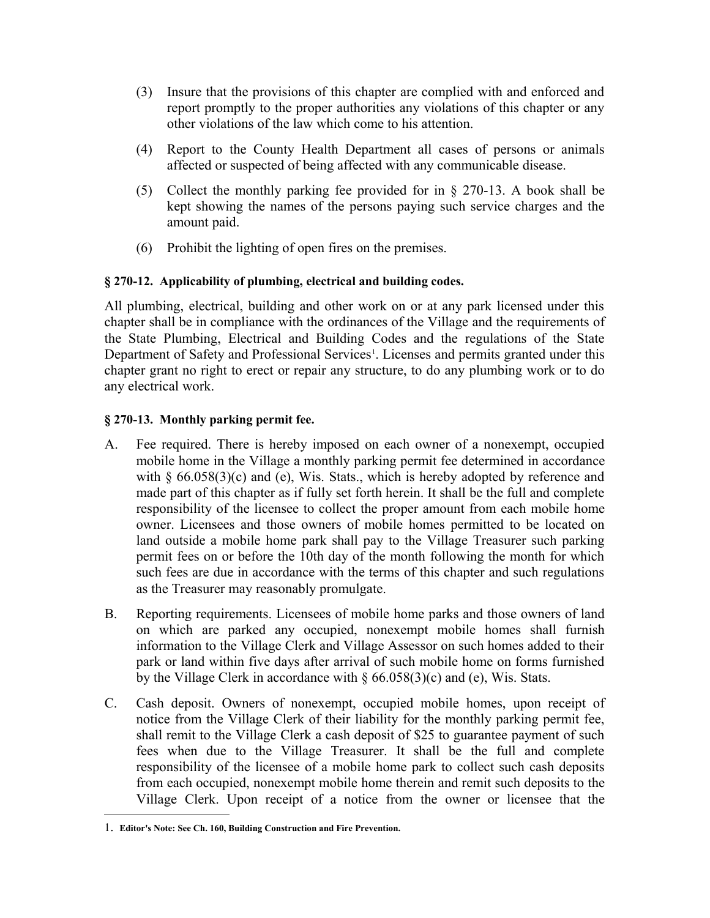- (3) Insure that the provisions of this chapter are complied with and enforced and report promptly to the proper authorities any violations of this chapter or any other violations of the law which come to his attention.
- (4) Report to the County Health Department all cases of persons or animals affected or suspected of being affected with any communicable disease.
- (5) Collect the monthly parking fee provided for in § 270-13. A book shall be kept showing the names of the persons paying such service charges and the amount paid.
- (6) Prohibit the lighting of open fires on the premises.

# **§ 270-12. Applicability of plumbing, electrical and building codes.**

All plumbing, electrical, building and other work on or at any park licensed under this chapter shall be in compliance with the ordinances of the Village and the requirements of the State Plumbing, Electrical and Building Codes and the regulations of the State Department of Safety and Professional Services<sup>[1](#page-6-0)</sup>. Licenses and permits granted under this chapter grant no right to erect or repair any structure, to do any plumbing work or to do any electrical work.

# **§ 270-13. Monthly parking permit fee.**

- A. Fee required. There is hereby imposed on each owner of a nonexempt, occupied mobile home in the Village a monthly parking permit fee determined in accordance with  $\S$  66.058(3)(c) and (e), Wis. Stats., which is hereby adopted by reference and made part of this chapter as if fully set forth herein. It shall be the full and complete responsibility of the licensee to collect the proper amount from each mobile home owner. Licensees and those owners of mobile homes permitted to be located on land outside a mobile home park shall pay to the Village Treasurer such parking permit fees on or before the 10th day of the month following the month for which such fees are due in accordance with the terms of this chapter and such regulations as the Treasurer may reasonably promulgate.
- B. Reporting requirements. Licensees of mobile home parks and those owners of land on which are parked any occupied, nonexempt mobile homes shall furnish information to the Village Clerk and Village Assessor on such homes added to their park or land within five days after arrival of such mobile home on forms furnished by the Village Clerk in accordance with § 66.058(3)(c) and (e), Wis. Stats.
- C. Cash deposit. Owners of nonexempt, occupied mobile homes, upon receipt of notice from the Village Clerk of their liability for the monthly parking permit fee, shall remit to the Village Clerk a cash deposit of \$25 to guarantee payment of such fees when due to the Village Treasurer. It shall be the full and complete responsibility of the licensee of a mobile home park to collect such cash deposits from each occupied, nonexempt mobile home therein and remit such deposits to the Village Clerk. Upon receipt of a notice from the owner or licensee that the

<span id="page-6-0"></span><sup>1</sup>. **Editor's Note: See Ch. 160, Building Construction and Fire Prevention.**